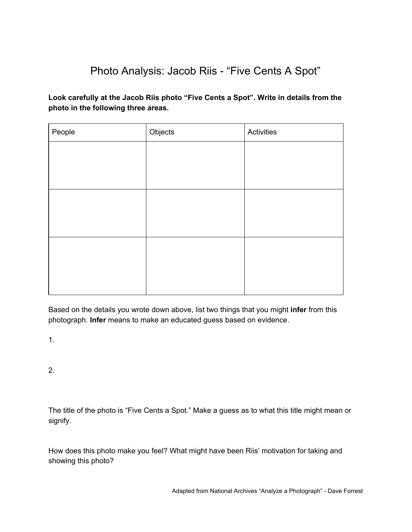## Photo Analysis: Jacob Riis - "Five Cents A Spot"

**Look carefully at the Jacob Riis photo "Five Cents a Spot". Write in details from the photo in the following three areas.**

| People | Objects | Activities |
|--------|---------|------------|
|        |         |            |
|        |         |            |
|        |         |            |
|        |         |            |
|        |         |            |
|        |         |            |
|        |         |            |
|        |         |            |
|        |         |            |
|        |         |            |

Based on the details you wrote down above, list two things that you might **infer** from this photograph. **Infer** means to make an educated guess based on evidence.

1.

2.

The title of the photo is "Five Cents a Spot." Make a guess as to what this title might mean or signify.

How does this photo make you feel? What might have been Riis' motivation for taking and showing this photo?